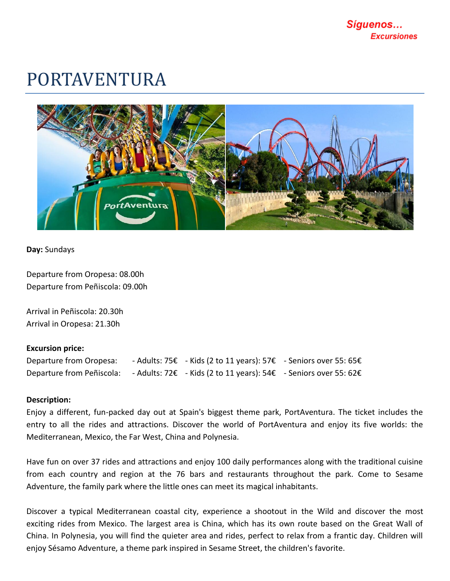## PORTAVENTURA



**Day:** Sundays

Departure from Oropesa: 08.00h Departure from Peñiscola: 09.00h

Arrival in Peñiscola: 20.30h Arrival in Oropesa: 21.30h

## **Excursion price:**

| Departure from Oropesa:   | - Adults: 75€ - Kids (2 to 11 years): 57€ - Seniors over 55: 65€ |  |
|---------------------------|------------------------------------------------------------------|--|
| Departure from Peñiscola: | - Adults: 72€ - Kids (2 to 11 years): 54€ - Seniors over 55: 62€ |  |

## **Description:**

Enjoy a different, fun-packed day out at Spain's biggest theme park, PortAventura. The ticket includes the entry to all the rides and attractions. Discover the world of PortAventura and enjoy its five worlds: the Mediterranean, Mexico, the Far West, China and Polynesia.

Have fun on over 37 rides and attractions and enjoy 100 daily performances along with the traditional cuisine from each country and region at the 76 bars and restaurants throughout the park. Come to Sesame Adventure, the family park where the little ones can meet its magical inhabitants.

Discover a typical Mediterranean coastal city, experience a shootout in the Wild and discover the most exciting rides from Mexico. The largest area is China, which has its own route based on the Great Wall of China. In Polynesia, you will find the quieter area and rides, perfect to relax from a frantic day. Children will enjoy Sésamo Adventure, a theme park inspired in Sesame Street, the children's favorite.